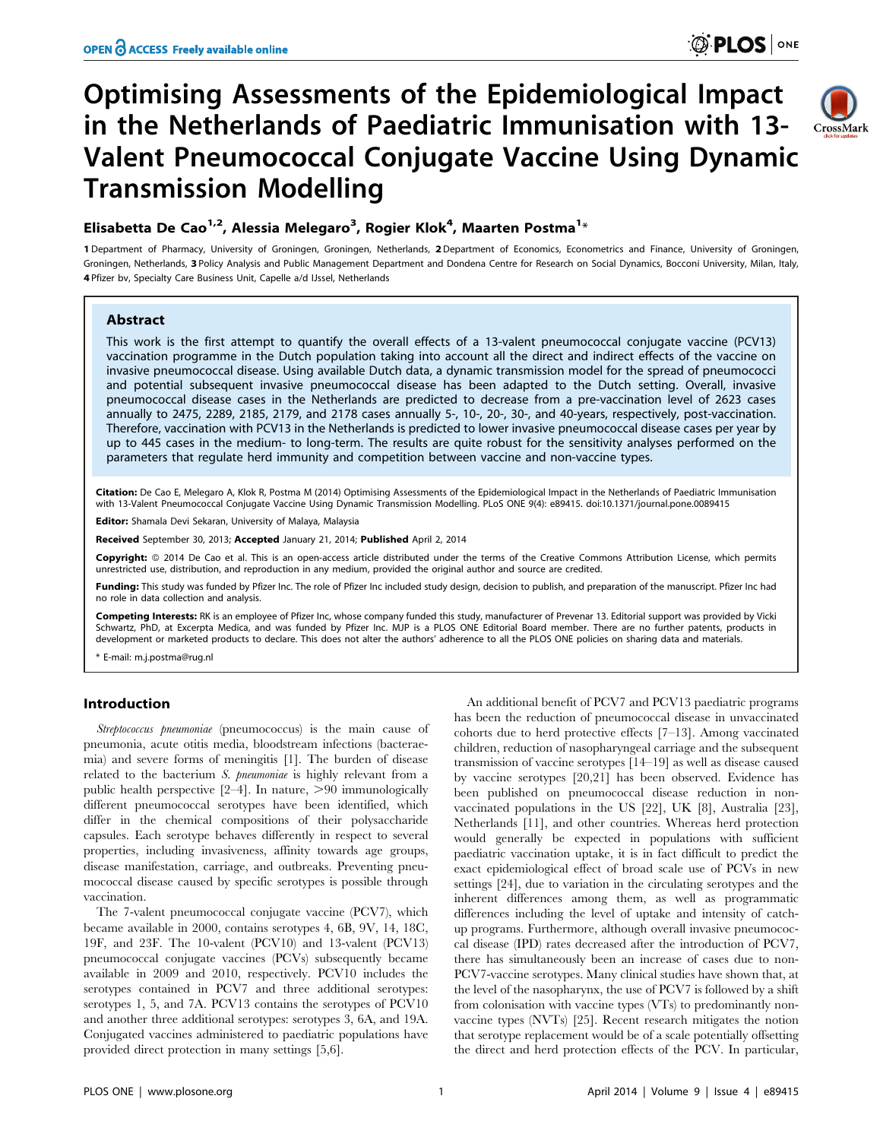$C$ rossMark

# Optimising Assessments of the Epidemiological Impact in the Netherlands of Paediatric Immunisation with 13- Valent Pneumococcal Conjugate Vaccine Using Dynamic Transmission Modelling



1 Department of Pharmacy, University of Groningen, Groningen, Netherlands, 2Department of Economics, Econometrics and Finance, University of Groningen, Groningen, Netherlands, 3 Policy Analysis and Public Management Department and Dondena Centre for Research on Social Dynamics, Bocconi University, Milan, Italy, 4 Pfizer bv, Specialty Care Business Unit, Capelle a/d IJssel, Netherlands

## Abstract

This work is the first attempt to quantify the overall effects of a 13-valent pneumococcal conjugate vaccine (PCV13) vaccination programme in the Dutch population taking into account all the direct and indirect effects of the vaccine on invasive pneumococcal disease. Using available Dutch data, a dynamic transmission model for the spread of pneumococci and potential subsequent invasive pneumococcal disease has been adapted to the Dutch setting. Overall, invasive pneumococcal disease cases in the Netherlands are predicted to decrease from a pre-vaccination level of 2623 cases annually to 2475, 2289, 2185, 2179, and 2178 cases annually 5-, 10-, 20-, 30-, and 40-years, respectively, post-vaccination. Therefore, vaccination with PCV13 in the Netherlands is predicted to lower invasive pneumococcal disease cases per year by up to 445 cases in the medium- to long-term. The results are quite robust for the sensitivity analyses performed on the parameters that regulate herd immunity and competition between vaccine and non-vaccine types.

Citation: De Cao E, Melegaro A, Klok R, Postma M (2014) Optimising Assessments of the Epidemiological Impact in the Netherlands of Paediatric Immunisation with 13-Valent Pneumococcal Conjugate Vaccine Using Dynamic Transmission Modelling. PLoS ONE 9(4): e89415. doi:10.1371/journal.pone.0089415

Editor: Shamala Devi Sekaran, University of Malaya, Malaysia

Received September 30, 2013; Accepted January 21, 2014; Published April 2, 2014

Copyright: © 2014 De Cao et al. This is an open-access article distributed under the terms of the [Creative Commons Attribution License,](http://creativecommons.org/licenses/by/4.0/) which permits unrestricted use, distribution, and reproduction in any medium, provided the original author and source are credited.

Funding: This study was funded by Pfizer Inc. The role of Pfizer Inc included study design, decision to publish, and preparation of the manuscript. Pfizer Inc had no role in data collection and analysis.

**Competing Interests:** RK is an employee of Pfizer Inc, whose company funded this study, manufacturer of Prevenar 13. Editorial support was provided by Vicki<br>Schwartz, PhD, at Excerpta Medica, and was funded by Pfizer Inc. development or marketed products to declare. This does not alter the authors' adherence to all the PLOS ONE policies on sharing data and materials.

\* E-mail: m.j.postma@rug.nl

### Introduction

Streptococcus pneumoniae (pneumococcus) is the main cause of pneumonia, acute otitis media, bloodstream infections (bacteraemia) and severe forms of meningitis [1]. The burden of disease related to the bacterium S. pneumoniae is highly relevant from a public health perspective  $[2-4]$ . In nature,  $>90$  immunologically different pneumococcal serotypes have been identified, which differ in the chemical compositions of their polysaccharide capsules. Each serotype behaves differently in respect to several properties, including invasiveness, affinity towards age groups, disease manifestation, carriage, and outbreaks. Preventing pneumococcal disease caused by specific serotypes is possible through vaccination.

The 7-valent pneumococcal conjugate vaccine (PCV7), which became available in 2000, contains serotypes 4, 6B, 9V, 14, 18C, 19F, and 23F. The 10-valent (PCV10) and 13-valent (PCV13) pneumococcal conjugate vaccines (PCVs) subsequently became available in 2009 and 2010, respectively. PCV10 includes the serotypes contained in PCV7 and three additional serotypes: serotypes 1, 5, and 7A. PCV13 contains the serotypes of PCV10 and another three additional serotypes: serotypes 3, 6A, and 19A. Conjugated vaccines administered to paediatric populations have provided direct protection in many settings [5,6].

An additional benefit of PCV7 and PCV13 paediatric programs has been the reduction of pneumococcal disease in unvaccinated cohorts due to herd protective effects [7–13]. Among vaccinated children, reduction of nasopharyngeal carriage and the subsequent transmission of vaccine serotypes [14–19] as well as disease caused by vaccine serotypes [20,21] has been observed. Evidence has been published on pneumococcal disease reduction in nonvaccinated populations in the US [22], UK [8], Australia [23], Netherlands [11], and other countries. Whereas herd protection would generally be expected in populations with sufficient paediatric vaccination uptake, it is in fact difficult to predict the exact epidemiological effect of broad scale use of PCVs in new settings [24], due to variation in the circulating serotypes and the inherent differences among them, as well as programmatic differences including the level of uptake and intensity of catchup programs. Furthermore, although overall invasive pneumococcal disease (IPD) rates decreased after the introduction of PCV7, there has simultaneously been an increase of cases due to non-PCV7-vaccine serotypes. Many clinical studies have shown that, at the level of the nasopharynx, the use of PCV7 is followed by a shift from colonisation with vaccine types (VTs) to predominantly nonvaccine types (NVTs) [25]. Recent research mitigates the notion that serotype replacement would be of a scale potentially offsetting the direct and herd protection effects of the PCV. In particular,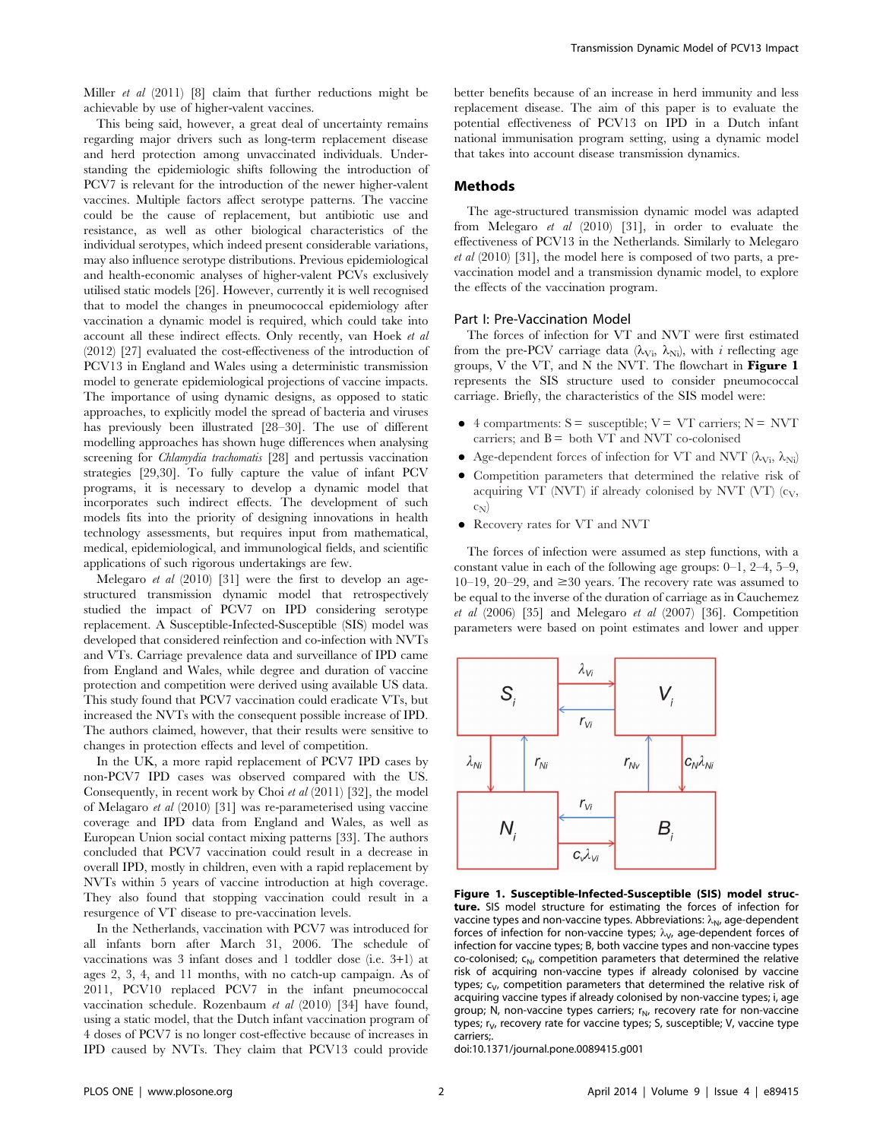Miller et al (2011) [8] claim that further reductions might be achievable by use of higher-valent vaccines.

This being said, however, a great deal of uncertainty remains regarding major drivers such as long-term replacement disease and herd protection among unvaccinated individuals. Understanding the epidemiologic shifts following the introduction of PCV7 is relevant for the introduction of the newer higher-valent vaccines. Multiple factors affect serotype patterns. The vaccine could be the cause of replacement, but antibiotic use and resistance, as well as other biological characteristics of the individual serotypes, which indeed present considerable variations, may also influence serotype distributions. Previous epidemiological and health-economic analyses of higher-valent PCVs exclusively utilised static models [26]. However, currently it is well recognised that to model the changes in pneumococcal epidemiology after vaccination a dynamic model is required, which could take into account all these indirect effects. Only recently, van Hoek et al (2012) [27] evaluated the cost-effectiveness of the introduction of PCV13 in England and Wales using a deterministic transmission model to generate epidemiological projections of vaccine impacts. The importance of using dynamic designs, as opposed to static approaches, to explicitly model the spread of bacteria and viruses has previously been illustrated [28–30]. The use of different modelling approaches has shown huge differences when analysing screening for *Chlamydia trachomatis* [28] and pertussis vaccination strategies [29,30]. To fully capture the value of infant PCV programs, it is necessary to develop a dynamic model that incorporates such indirect effects. The development of such models fits into the priority of designing innovations in health technology assessments, but requires input from mathematical, medical, epidemiological, and immunological fields, and scientific applications of such rigorous undertakings are few.

Melegaro et al (2010) [31] were the first to develop an agestructured transmission dynamic model that retrospectively studied the impact of PCV7 on IPD considering serotype replacement. A Susceptible-Infected-Susceptible (SIS) model was developed that considered reinfection and co-infection with NVTs and VTs. Carriage prevalence data and surveillance of IPD came from England and Wales, while degree and duration of vaccine protection and competition were derived using available US data. This study found that PCV7 vaccination could eradicate VTs, but increased the NVTs with the consequent possible increase of IPD. The authors claimed, however, that their results were sensitive to changes in protection effects and level of competition.

In the UK, a more rapid replacement of PCV7 IPD cases by non-PCV7 IPD cases was observed compared with the US. Consequently, in recent work by Choi et al (2011) [32], the model of Melagaro et al (2010) [31] was re-parameterised using vaccine coverage and IPD data from England and Wales, as well as European Union social contact mixing patterns [33]. The authors concluded that PCV7 vaccination could result in a decrease in overall IPD, mostly in children, even with a rapid replacement by NVTs within 5 years of vaccine introduction at high coverage. They also found that stopping vaccination could result in a resurgence of VT disease to pre-vaccination levels.

In the Netherlands, vaccination with PCV7 was introduced for all infants born after March 31, 2006. The schedule of vaccinations was 3 infant doses and 1 toddler dose (i.e. 3+1) at ages 2, 3, 4, and 11 months, with no catch-up campaign. As of 2011, PCV10 replaced PCV7 in the infant pneumococcal vaccination schedule. Rozenbaum et al (2010) [34] have found, using a static model, that the Dutch infant vaccination program of 4 doses of PCV7 is no longer cost-effective because of increases in IPD caused by NVTs. They claim that PCV13 could provide

better benefits because of an increase in herd immunity and less replacement disease. The aim of this paper is to evaluate the potential effectiveness of PCV13 on IPD in a Dutch infant national immunisation program setting, using a dynamic model that takes into account disease transmission dynamics.

## Methods

The age-structured transmission dynamic model was adapted from Melegaro et al (2010) [31], in order to evaluate the effectiveness of PCV13 in the Netherlands. Similarly to Melegaro et al (2010) [31], the model here is composed of two parts, a prevaccination model and a transmission dynamic model, to explore the effects of the vaccination program.

#### Part I: Pre-Vaccination Model

The forces of infection for VT and NVT were first estimated from the pre-PCV carriage data ( $\lambda_{Vi}$ ,  $\lambda_{Ni}$ ), with *i* reflecting age groups, V the VT, and N the NVT. The flowchart in Figure 1 represents the SIS structure used to consider pneumococcal carriage. Briefly, the characteristics of the SIS model were:

- $\bullet$  4 compartments: S = susceptible; V = VT carriers; N = NVT carriers; and  $B =$  both VT and NVT co-colonised
- Age-dependent forces of infection for VT and NVT  $(\lambda_{Vi}, \lambda_{Ni})$
- Competition parameters that determined the relative risk of acquiring VT (NVT) if already colonised by NVT (VT)  $(c_V,$  $C_{\mathbf{N}}$
- Recovery rates for VT and NVT

The forces of infection were assumed as step functions, with a constant value in each of the following age groups: 0–1, 2–4, 5–9, 10–19, 20–29, and  $\geq$  30 years. The recovery rate was assumed to be equal to the inverse of the duration of carriage as in Cauchemez  $et \ al \ (2006) \ [35]$  and Melegaro  $et \ al \ (2007) \ [36]$ . Competition parameters were based on point estimates and lower and upper



Figure 1. Susceptible-Infected-Susceptible (SIS) model structure. SIS model structure for estimating the forces of infection for vaccine types and non-vaccine types. Abbreviations:  $\lambda_{N}$ , age-dependent forces of infection for non-vaccine types;  $\lambda_{\mathsf{V}}$ , age-dependent forces of infection for vaccine types; B, both vaccine types and non-vaccine types co-colonised;  $c_N$ , competition parameters that determined the relative risk of acquiring non-vaccine types if already colonised by vaccine types;  $c_V$ , competition parameters that determined the relative risk of acquiring vaccine types if already colonised by non-vaccine types; i, age group; N, non-vaccine types carriers;  $r_N$ , recovery rate for non-vaccine types; r<sub>V</sub>, recovery rate for vaccine types; S, susceptible; V, vaccine type carriers;.

doi:10.1371/journal.pone.0089415.g001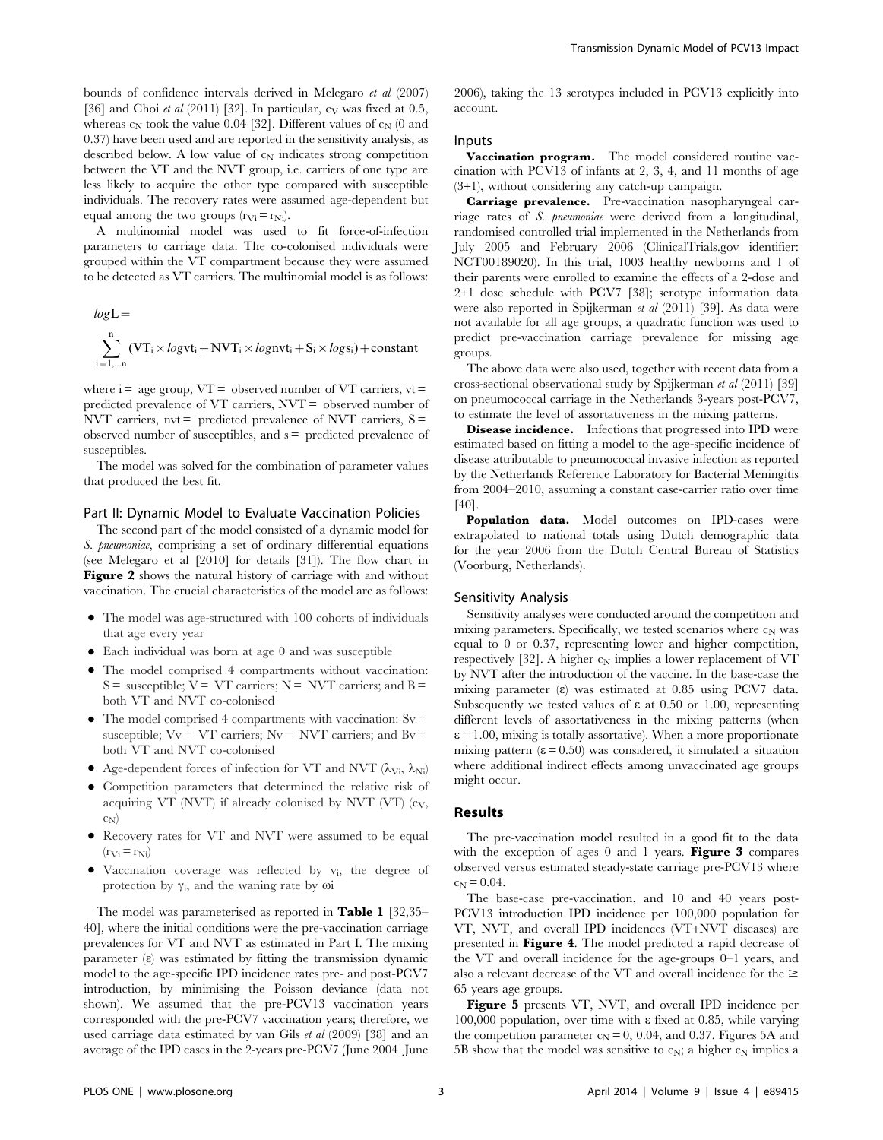bounds of confidence intervals derived in Melegaro et al (2007) [36] and Choi et al  $(2011)$  [32]. In particular,  $c_V$  was fixed at 0.5, whereas  $c_N$  took the value 0.04 [32]. Different values of  $c_N$  (0 and 0.37) have been used and are reported in the sensitivity analysis, as described below. A low value of  $c_N$  indicates strong competition between the VT and the NVT group, i.e. carriers of one type are less likely to acquire the other type compared with susceptible individuals. The recovery rates were assumed age-dependent but equal among the two groups  $(r_{Vi} = r_{Ni})$ .

A multinomial model was used to fit force-of-infection parameters to carriage data. The co-colonised individuals were grouped within the VT compartment because they were assumed to be detected as VT carriers. The multinomial model is as follows:

$$
log L = \sum_{i=1,\ldots n}^{n} (VT_i \times logvt_i + NVT_i \times lognv t_i + S_i \times logs_i) + constant
$$

where  $i = age$  group,  $VT = observed$  number of  $VT$  carriers,  $vt =$ predicted prevalence of VT carriers, NVT = observed number of NVT carriers,  $nvt =$  predicted prevalence of NVT carriers,  $S =$ observed number of susceptibles, and  $s =$  predicted prevalence of susceptibles.

The model was solved for the combination of parameter values that produced the best fit.

#### Part II: Dynamic Model to Evaluate Vaccination Policies

The second part of the model consisted of a dynamic model for S. pneumoniae, comprising a set of ordinary differential equations (see Melegaro et al [2010] for details [31]). The flow chart in Figure 2 shows the natural history of carriage with and without vaccination. The crucial characteristics of the model are as follows:

- The model was age-structured with 100 cohorts of individuals that age every year
- N Each individual was born at age 0 and was susceptible
- The model comprised 4 compartments without vaccination:  $S =$  susceptible;  $V = VT$  carriers;  $N = NVT$  carriers; and  $B =$ both VT and NVT co-colonised
- $\bullet$  The model comprised 4 compartments with vaccination: Sv = susceptible;  $Vv = VT$  carriers;  $Nv = NVT$  carriers; and  $Bv =$ both VT and NVT co-colonised
- Age-dependent forces of infection for VT and NVT  $(\lambda_{Vi}, \lambda_{Ni})$
- N Competition parameters that determined the relative risk of acquiring VT (NVT) if already colonised by NVT (VT)  $(c_V,$  $c_N$
- Recovery rates for VT and NVT were assumed to be equal  $(r_{\rm Vi}= r_{\rm Ni})$
- Vaccination coverage was reflected by  $v_i$ , the degree of protection by  $\gamma_i$ , and the waning rate by  $\omega_i$

The model was parameterised as reported in Table 1 [32,35– 40], where the initial conditions were the pre-vaccination carriage prevalences for VT and NVT as estimated in Part I. The mixing parameter (e) was estimated by fitting the transmission dynamic model to the age-specific IPD incidence rates pre- and post-PCV7 introduction, by minimising the Poisson deviance (data not shown). We assumed that the pre-PCV13 vaccination years corresponded with the pre-PCV7 vaccination years; therefore, we used carriage data estimated by van Gils et al (2009) [38] and an average of the IPD cases in the 2-years pre-PCV7 (June 2004–June 2006), taking the 13 serotypes included in PCV13 explicitly into account.

#### Inputs

Vaccination program. The model considered routine vaccination with PCV13 of infants at 2, 3, 4, and 11 months of age (3+1), without considering any catch-up campaign.

Carriage prevalence. Pre-vaccination nasopharyngeal carriage rates of S. pneumoniae were derived from a longitudinal, randomised controlled trial implemented in the Netherlands from July 2005 and February 2006 (ClinicalTrials.gov identifier: NCT00189020). In this trial, 1003 healthy newborns and 1 of their parents were enrolled to examine the effects of a 2-dose and 2+1 dose schedule with PCV7 [38]; serotype information data were also reported in Spijkerman et al (2011) [39]. As data were not available for all age groups, a quadratic function was used to predict pre-vaccination carriage prevalence for missing age groups.

The above data were also used, together with recent data from a cross-sectional observational study by Spijkerman et al (2011) [39] on pneumococcal carriage in the Netherlands 3-years post-PCV7, to estimate the level of assortativeness in the mixing patterns.

**Disease incidence.** Infections that progressed into IPD were estimated based on fitting a model to the age-specific incidence of disease attributable to pneumococcal invasive infection as reported by the Netherlands Reference Laboratory for Bacterial Meningitis from 2004–2010, assuming a constant case-carrier ratio over time [40].

Population data. Model outcomes on IPD-cases were extrapolated to national totals using Dutch demographic data for the year 2006 from the Dutch Central Bureau of Statistics (Voorburg, Netherlands).

#### Sensitivity Analysis

Sensitivity analyses were conducted around the competition and mixing parameters. Specifically, we tested scenarios where  $c_N$  was equal to 0 or 0.37, representing lower and higher competition, respectively [32]. A higher  $c_N$  implies a lower replacement of VT by NVT after the introduction of the vaccine. In the base-case the mixing parameter ( $\varepsilon$ ) was estimated at 0.85 using PCV7 data. Subsequently we tested values of  $\varepsilon$  at 0.50 or 1.00, representing different levels of assortativeness in the mixing patterns (when  $\varepsilon$  = 1.00, mixing is totally assortative). When a more proportionate mixing pattern  $(\epsilon = 0.50)$  was considered, it simulated a situation where additional indirect effects among unvaccinated age groups might occur.

#### Results

The pre-vaccination model resulted in a good fit to the data with the exception of ages  $0$  and  $1$  years. Figure 3 compares observed versus estimated steady-state carriage pre-PCV13 where  $c_N = 0.04$ .

The base-case pre-vaccination, and 10 and 40 years post-PCV13 introduction IPD incidence per 100,000 population for VT, NVT, and overall IPD incidences (VT+NVT diseases) are presented in Figure 4. The model predicted a rapid decrease of the VT and overall incidence for the age-groups 0–1 years, and also a relevant decrease of the VT and overall incidence for the  $\geq$ 65 years age groups.

Figure 5 presents VT, NVT, and overall IPD incidence per 100,000 population, over time with e fixed at 0.85, while varying the competition parameter  $c_N = 0$ , 0.04, and 0.37. Figures 5A and 5B show that the model was sensitive to  $c_N$ ; a higher  $c_N$  implies a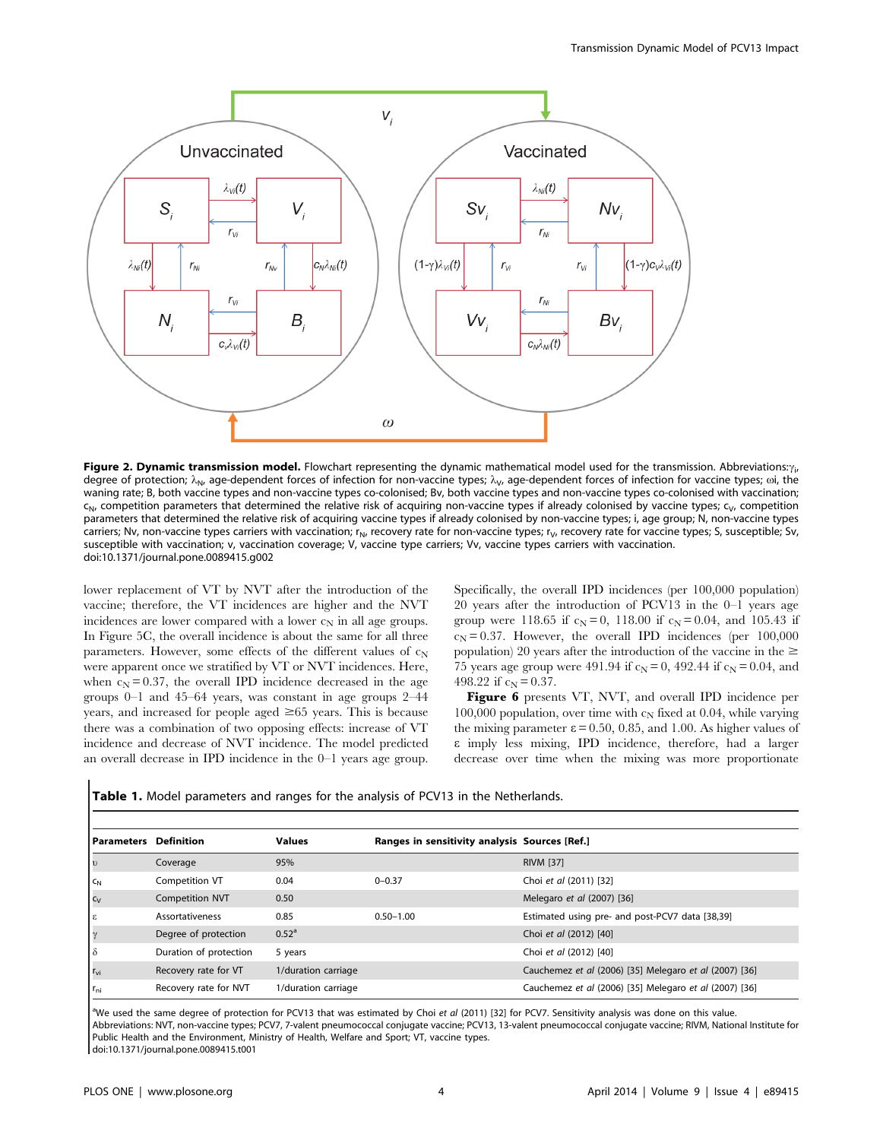

**Figure 2. Dynamic transmission model.** Flowchart representing the dynamic mathematical model used for the transmission. Abbreviations: $\gamma_{\rm i}$ degree of protection;  $\lambda_{N}$ , age-dependent forces of infection for non-vaccine types;  $\lambda_{V}$ , age-dependent forces of infection for vaccine types;  $\omega$ i, the waning rate; B, both vaccine types and non-vaccine types co-colonised; Bv, both vaccine types and non-vaccine types co-colonised with vaccination;  $c_{N}$ , competition parameters that determined the relative risk of acquiring non-vaccine types if already colonised by vaccine types;  $c_{V}$ , competition parameters that determined the relative risk of acquiring vaccine types if already colonised by non-vaccine types; i, age group; N, non-vaccine types carriers; Nv, non-vaccine types carriers with vaccination;  $r_N$ , recovery rate for non-vaccine types;  $r_V$ , recovery rate for vaccine types; S, susceptible; Sv, susceptible with vaccination; v, vaccination coverage; V, vaccine type carriers; Vv, vaccine types carriers with vaccination. doi:10.1371/journal.pone.0089415.g002

lower replacement of VT by NVT after the introduction of the vaccine; therefore, the VT incidences are higher and the NVT incidences are lower compared with a lower  $c_N$  in all age groups. In Figure 5C, the overall incidence is about the same for all three parameters. However, some effects of the different values of  $c_N$ were apparent once we stratified by VT or NVT incidences. Here, when  $c_N = 0.37$ , the overall IPD incidence decreased in the age groups 0–1 and 45–64 years, was constant in age groups 2–44 years, and increased for people aged  $\geq 65$  years. This is because there was a combination of two opposing effects: increase of VT incidence and decrease of NVT incidence. The model predicted an overall decrease in IPD incidence in the 0–1 years age group. Specifically, the overall IPD incidences (per 100,000 population) 20 years after the introduction of PCV13 in the 0–1 years age group were 118.65 if  $c_N = 0$ , 118.00 if  $c_N = 0.04$ , and 105.43 if  $c_N = 0.37$ . However, the overall IPD incidences (per 100,000 population) 20 years after the introduction of the vaccine in the  $\geq$ 75 years age group were 491.94 if  $c_N = 0$ , 492.44 if  $c_N = 0.04$ , and 498.22 if  $c_N = 0.37$ .

Figure 6 presents VT, NVT, and overall IPD incidence per 100,000 population, over time with  $c_N$  fixed at 0.04, while varying the mixing parameter  $\varepsilon = 0.50, 0.85,$  and 1.00. As higher values of e imply less mixing, IPD incidence, therefore, had a larger decrease over time when the mixing was more proportionate

|  |  | <b>Table 1.</b> Model parameters and ranges for the analysis of PCV13 in the Netherlands. |  |  |  |  |  |  |  |  |  |  |  |  |  |
|--|--|-------------------------------------------------------------------------------------------|--|--|--|--|--|--|--|--|--|--|--|--|--|
|--|--|-------------------------------------------------------------------------------------------|--|--|--|--|--|--|--|--|--|--|--|--|--|

| <b>Parameters</b> Definition |                        | <b>Values</b>       | Ranges in sensitivity analysis Sources [Ref.] |                                                        |
|------------------------------|------------------------|---------------------|-----------------------------------------------|--------------------------------------------------------|
| $\mathsf{L}$                 | Coverage               | 95%                 |                                               | <b>RIVM [37]</b>                                       |
| $c_{N}$                      | Competition VT         | 0.04                | $0 - 0.37$                                    | Choi et al (2011) [32]                                 |
| $c_v$                        | <b>Competition NVT</b> | 0.50                |                                               | Melegaro et al (2007) [36]                             |
| lε                           | Assortativeness        | 0.85                | $0.50 - 1.00$                                 | Estimated using pre- and post-PCV7 data [38,39]        |
| Iγ                           | Degree of protection   | 0.52 <sup>a</sup>   |                                               | Choi et al (2012) [40]                                 |
| $\delta$                     | Duration of protection | 5 years             |                                               | Choi et al (2012) [40]                                 |
| $r_{\rm vi}$                 | Recovery rate for VT   | 1/duration carriage |                                               | Cauchemez et al (2006) [35] Melegaro et al (2007) [36] |
| $r_{\rm ni}$                 | Recovery rate for NVT  | 1/duration carriage |                                               | Cauchemez et al (2006) [35] Melegaro et al (2007) [36] |

aWe used the same degree of protection for PCV13 that was estimated by Choi et al (2011) [32] for PCV7. Sensitivity analysis was done on this value. Abbreviations: NVT, non-vaccine types; PCV7, 7-valent pneumococcal conjugate vaccine; PCV13, 13-valent pneumococcal conjugate vaccine; RIVM, National Institute for Public Health and the Environment, Ministry of Health, Welfare and Sport; VT, vaccine types. doi:10.1371/journal.pone.0089415.t001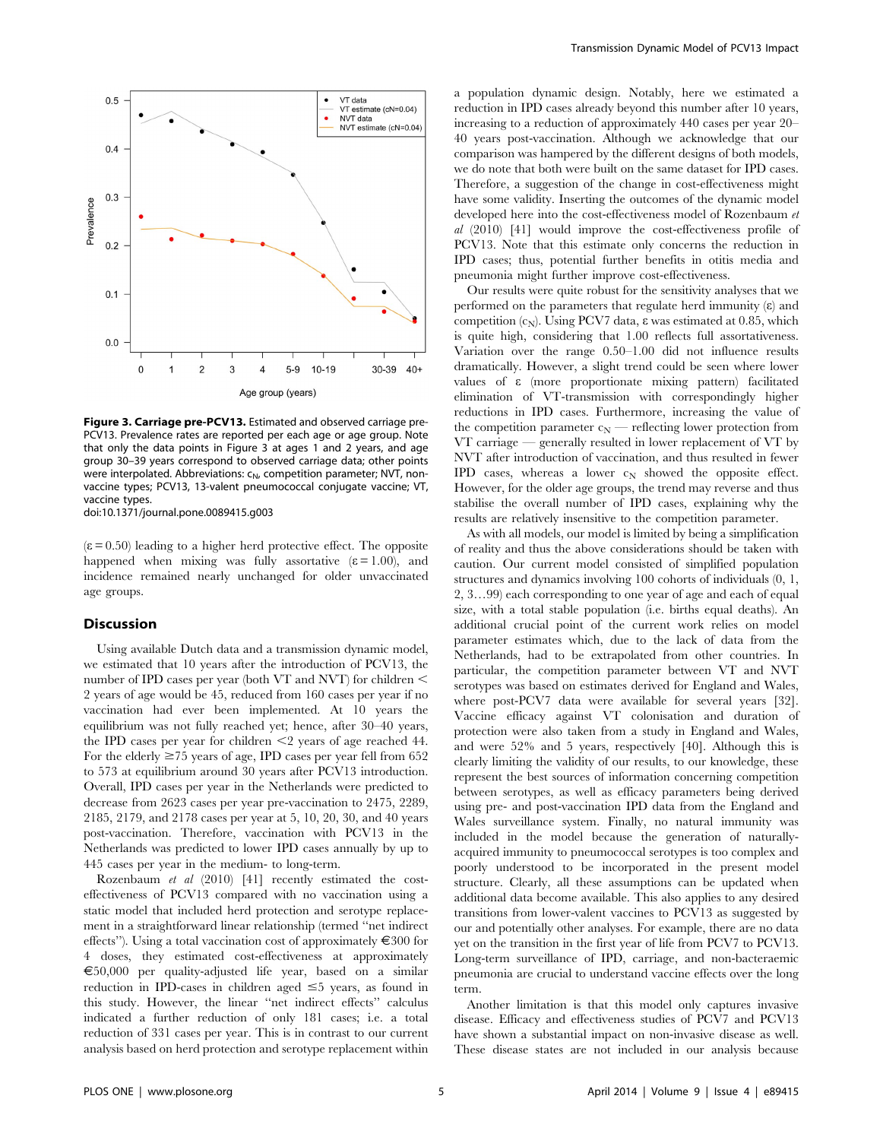

Figure 3. Carriage pre-PCV13. Estimated and observed carriage pre-PCV13. Prevalence rates are reported per each age or age group. Note that only the data points in Figure 3 at ages 1 and 2 years, and age group 30–39 years correspond to observed carriage data; other points were interpolated. Abbreviations:  $c_N$ , competition parameter; NVT, nonvaccine types; PCV13, 13-valent pneumococcal conjugate vaccine; VT, vaccine types.

doi:10.1371/journal.pone.0089415.g003

 $(\epsilon = 0.50)$  leading to a higher herd protective effect. The opposite happened when mixing was fully assortative  $(\epsilon = 1.00)$ , and incidence remained nearly unchanged for older unvaccinated age groups.

#### **Discussion**

Using available Dutch data and a transmission dynamic model, we estimated that 10 years after the introduction of PCV13, the number of IPD cases per year (both VT and NVT) for children  $\leq$ 2 years of age would be 45, reduced from 160 cases per year if no vaccination had ever been implemented. At 10 years the equilibrium was not fully reached yet; hence, after 30–40 years, the IPD cases per year for children  $\leq$  years of age reached 44. For the elderly  $\geq$  75 years of age, IPD cases per year fell from 652 to 573 at equilibrium around 30 years after PCV13 introduction. Overall, IPD cases per year in the Netherlands were predicted to decrease from 2623 cases per year pre-vaccination to 2475, 2289, 2185, 2179, and 2178 cases per year at 5, 10, 20, 30, and 40 years post-vaccination. Therefore, vaccination with PCV13 in the Netherlands was predicted to lower IPD cases annually by up to 445 cases per year in the medium- to long-term.

Rozenbaum et al (2010) [41] recently estimated the costeffectiveness of PCV13 compared with no vaccination using a static model that included herd protection and serotype replacement in a straightforward linear relationship (termed ''net indirect effects"). Using a total vaccination cost of approximately  $\epsilon$ 300 for 4 doses, they estimated cost-effectiveness at approximately  $\epsilon$ 50,000 per quality-adjusted life year, based on a similar reduction in IPD-cases in children aged  $\leq$ 5 years, as found in this study. However, the linear ''net indirect effects'' calculus indicated a further reduction of only 181 cases; i.e. a total reduction of 331 cases per year. This is in contrast to our current analysis based on herd protection and serotype replacement within a population dynamic design. Notably, here we estimated a reduction in IPD cases already beyond this number after 10 years, increasing to a reduction of approximately 440 cases per year 20– 40 years post-vaccination. Although we acknowledge that our comparison was hampered by the different designs of both models, we do note that both were built on the same dataset for IPD cases. Therefore, a suggestion of the change in cost-effectiveness might have some validity. Inserting the outcomes of the dynamic model developed here into the cost-effectiveness model of Rozenbaum et al (2010) [41] would improve the cost-effectiveness profile of PCV13. Note that this estimate only concerns the reduction in IPD cases; thus, potential further benefits in otitis media and pneumonia might further improve cost-effectiveness.

Our results were quite robust for the sensitivity analyses that we performed on the parameters that regulate herd immunity  $(\varepsilon)$  and competition  $(c_N)$ . Using PCV7 data,  $\varepsilon$  was estimated at 0.85, which is quite high, considering that 1.00 reflects full assortativeness. Variation over the range 0.50–1.00 did not influence results dramatically. However, a slight trend could be seen where lower values of e (more proportionate mixing pattern) facilitated elimination of VT-transmission with correspondingly higher reductions in IPD cases. Furthermore, increasing the value of the competition parameter  $c_N$  — reflecting lower protection from VT carriage — generally resulted in lower replacement of VT by NVT after introduction of vaccination, and thus resulted in fewer IPD cases, whereas a lower  $c_N$  showed the opposite effect. However, for the older age groups, the trend may reverse and thus stabilise the overall number of IPD cases, explaining why the results are relatively insensitive to the competition parameter.

As with all models, our model is limited by being a simplification of reality and thus the above considerations should be taken with caution. Our current model consisted of simplified population structures and dynamics involving 100 cohorts of individuals (0, 1, 2, 3…99) each corresponding to one year of age and each of equal size, with a total stable population (i.e. births equal deaths). An additional crucial point of the current work relies on model parameter estimates which, due to the lack of data from the Netherlands, had to be extrapolated from other countries. In particular, the competition parameter between VT and NVT serotypes was based on estimates derived for England and Wales, where post-PCV7 data were available for several years [32]. Vaccine efficacy against VT colonisation and duration of protection were also taken from a study in England and Wales, and were 52% and 5 years, respectively [40]. Although this is clearly limiting the validity of our results, to our knowledge, these represent the best sources of information concerning competition between serotypes, as well as efficacy parameters being derived using pre- and post-vaccination IPD data from the England and Wales surveillance system. Finally, no natural immunity was included in the model because the generation of naturallyacquired immunity to pneumococcal serotypes is too complex and poorly understood to be incorporated in the present model structure. Clearly, all these assumptions can be updated when additional data become available. This also applies to any desired transitions from lower-valent vaccines to PCV13 as suggested by our and potentially other analyses. For example, there are no data yet on the transition in the first year of life from PCV7 to PCV13. Long-term surveillance of IPD, carriage, and non-bacteraemic pneumonia are crucial to understand vaccine effects over the long term.

Another limitation is that this model only captures invasive disease. Efficacy and effectiveness studies of PCV7 and PCV13 have shown a substantial impact on non-invasive disease as well. These disease states are not included in our analysis because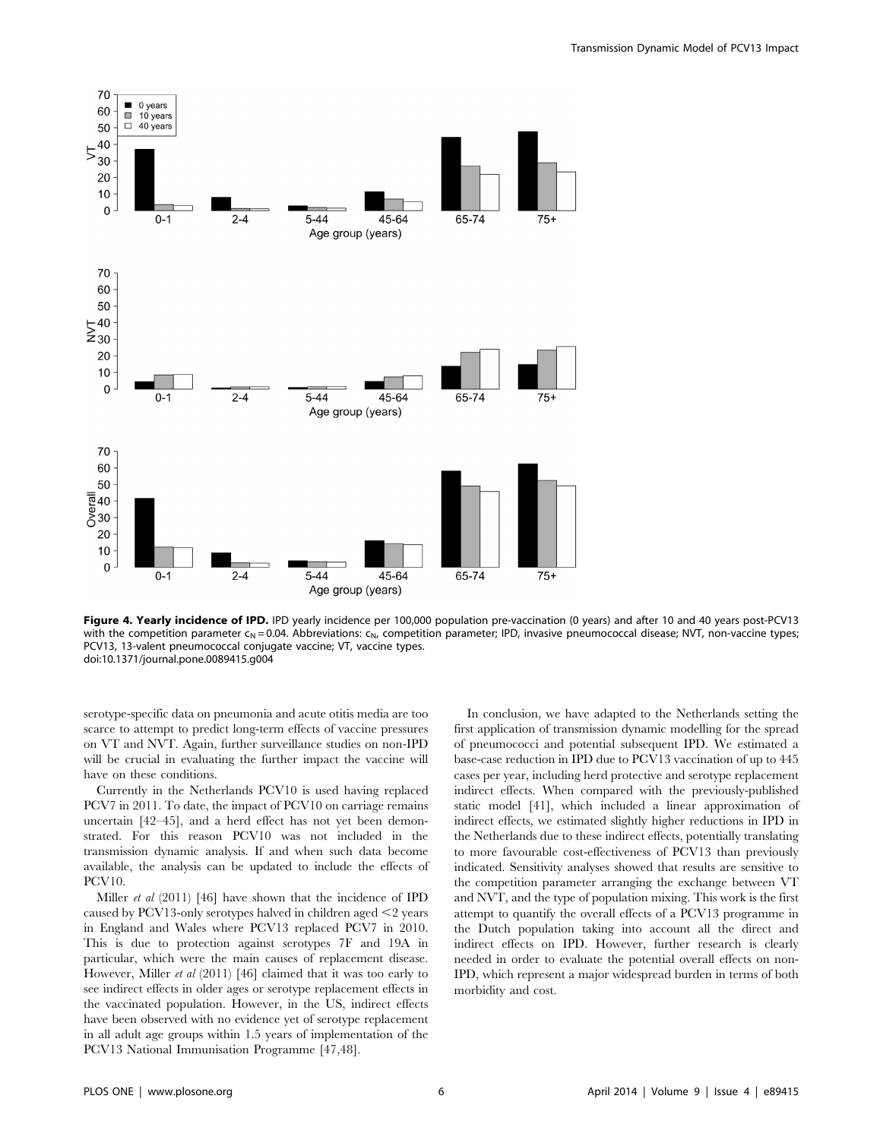



Figure 4. Yearly incidence of IPD. IPD yearly incidence per 100,000 population pre-vaccination (0 years) and after 10 and 40 years post-PCV13 with the competition parameter  $c_N$  = 0.04. Abbreviations:  $c_N$ , competition parameter; IPD, invasive pneumococcal disease; NVT, non-vaccine types; PCV13, 13-valent pneumococcal conjugate vaccine; VT, vaccine types. doi:10.1371/journal.pone.0089415.g004

serotype-specific data on pneumonia and acute otitis media are too scarce to attempt to predict long-term effects of vaccine pressures on VT and NVT. Again, further surveillance studies on non-IPD will be crucial in evaluating the further impact the vaccine will have on these conditions.

Currently in the Netherlands PCV10 is used having replaced PCV7 in 2011. To date, the impact of PCV10 on carriage remains uncertain [42–45], and a herd effect has not yet been demonstrated. For this reason PCV10 was not included in the transmission dynamic analysis. If and when such data become available, the analysis can be updated to include the effects of PCV10.

Miller et al (2011) [46] have shown that the incidence of IPD caused by PCV13-only serotypes halved in children aged  $\leq$ 2 years in England and Wales where PCV13 replaced PCV7 in 2010. This is due to protection against serotypes 7F and 19A in particular, which were the main causes of replacement disease. However, Miller et al (2011) [46] claimed that it was too early to see indirect effects in older ages or serotype replacement effects in the vaccinated population. However, in the US, indirect effects have been observed with no evidence yet of serotype replacement in all adult age groups within 1.5 years of implementation of the PCV13 National Immunisation Programme [47,48].

In conclusion, we have adapted to the Netherlands setting the first application of transmission dynamic modelling for the spread of pneumococci and potential subsequent IPD. We estimated a base-case reduction in IPD due to PCV13 vaccination of up to 445 cases per year, including herd protective and serotype replacement indirect effects. When compared with the previously-published static model [41], which included a linear approximation of indirect effects, we estimated slightly higher reductions in IPD in the Netherlands due to these indirect effects, potentially translating to more favourable cost-effectiveness of PCV13 than previously indicated. Sensitivity analyses showed that results are sensitive to the competition parameter arranging the exchange between VT and NVT, and the type of population mixing. This work is the first attempt to quantify the overall effects of a PCV13 programme in the Dutch population taking into account all the direct and indirect effects on IPD. However, further research is clearly needed in order to evaluate the potential overall effects on non-IPD, which represent a major widespread burden in terms of both morbidity and cost.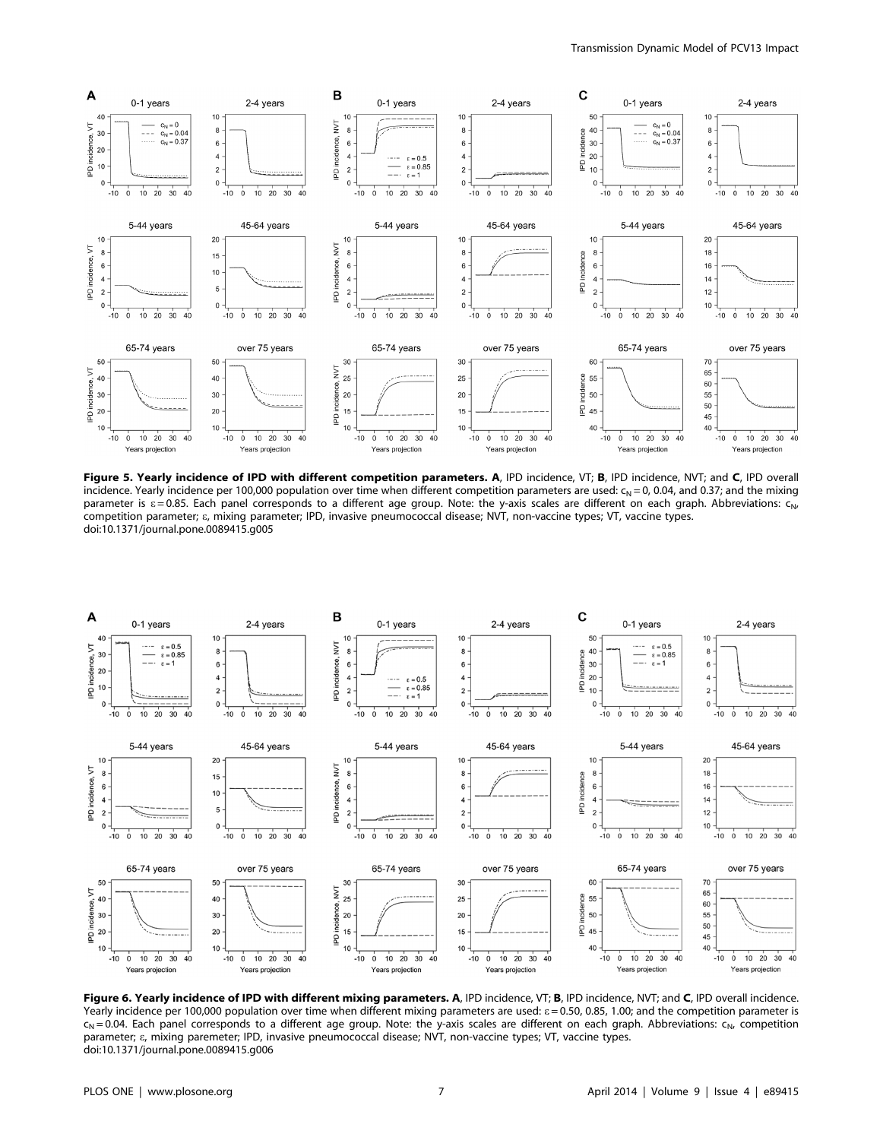

Figure 5. Yearly incidence of IPD with different competition parameters. A, IPD incidence, VT; B, IPD incidence, NVT; and C, IPD overall incidence. Yearly incidence per 100,000 population over time when different competition parameters are used:  $c_N = 0$ , 0.04, and 0.37; and the mixing parameter is  $\varepsilon = 0.85$ . Each panel corresponds to a different age group. Note: the y-axis scales are different on each graph. Abbreviations:  $c_{N}$ , competition parameter; e, mixing parameter; IPD, invasive pneumococcal disease; NVT, non-vaccine types; VT, vaccine types. doi:10.1371/journal.pone.0089415.g005



Figure 6. Yearly incidence of IPD with different mixing parameters. A, IPD incidence, VT; B, IPD incidence, NVT; and C, IPD overall incidence. Yearly incidence per 100,000 population over time when different mixing parameters are used:  $\epsilon$  = 0.50, 0.85, 1.00; and the competition parameter is  $c_N$  = 0.04. Each panel corresponds to a different age group. Note: the y-axis scales are different on each graph. Abbreviations:  $c_N$  competition parameter; e, mixing paremeter; IPD, invasive pneumococcal disease; NVT, non-vaccine types; VT, vaccine types. doi:10.1371/journal.pone.0089415.g006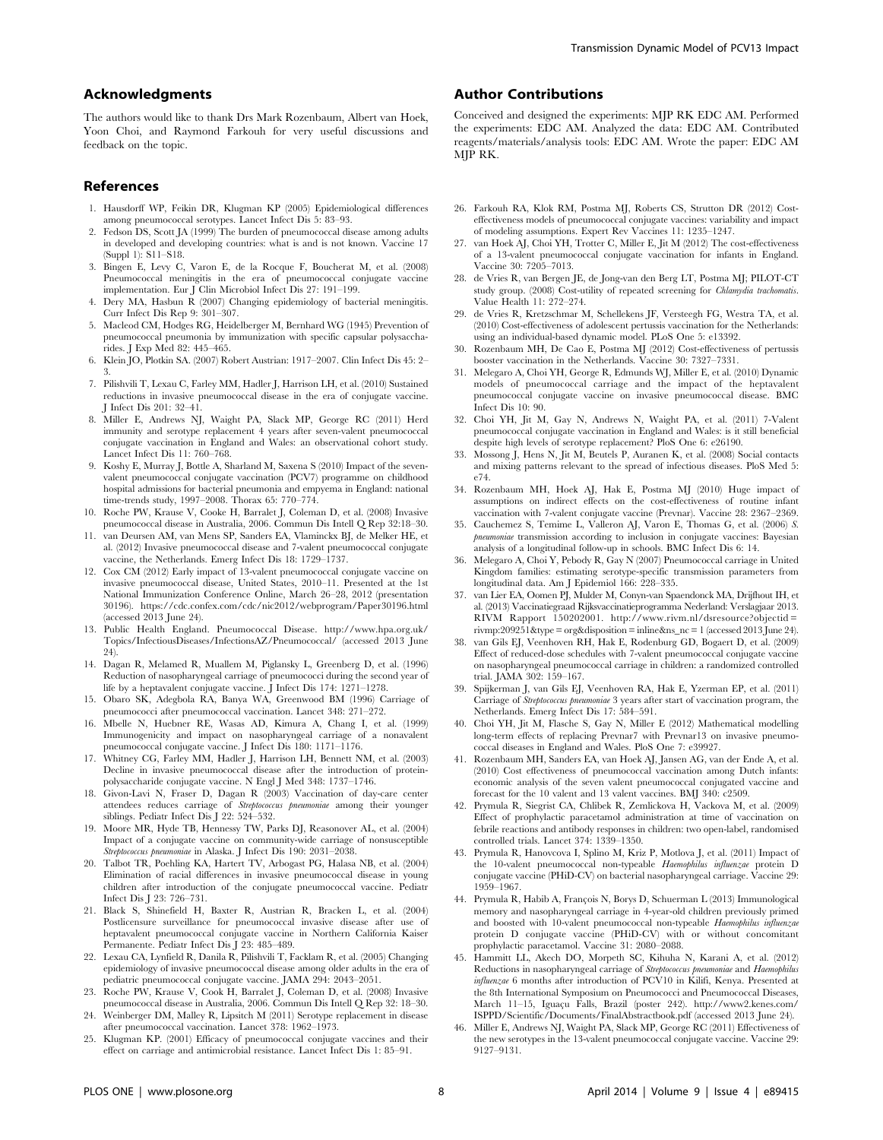### Acknowledgments

The authors would like to thank Drs Mark Rozenbaum, Albert van Hoek, Yoon Choi, and Raymond Farkouh for very useful discussions and feedback on the topic.

## References

- 1. Hausdorff WP, Feikin DR, Klugman KP (2005) Epidemiological differences among pneumococcal serotypes. Lancet Infect Dis 5: 83–93.
- 2. Fedson DS, Scott JA (1999) The burden of pneumococcal disease among adults in developed and developing countries: what is and is not known. Vaccine 17 (Suppl 1): S11–S18.
- 3. Bingen E, Levy C, Varon E, de la Rocque F, Boucherat M, et al. (2008) Pneumococcal meningitis in the era of pneumococcal conjugate vaccine implementation. Eur J Clin Microbiol Infect Dis 27: 191–199.
- 4. Dery MA, Hasbun R (2007) Changing epidemiology of bacterial meningitis. Curr Infect Dis Rep 9: 301–307.
- 5. Macleod CM, Hodges RG, Heidelberger M, Bernhard WG (1945) Prevention of pneumococcal pneumonia by immunization with specific capsular polysaccharides. J Exp Med 82: 445–465.
- 6. Klein JO, Plotkin SA. (2007) Robert Austrian: 1917–2007. Clin Infect Dis 45: 2– 3.
- 7. Pilishvili T, Lexau C, Farley MM, Hadler J, Harrison LH, et al. (2010) Sustained reductions in invasive pneumococcal disease in the era of conjugate vaccine. J Infect Dis 201: 32–41.
- 8. Miller E, Andrews NJ, Waight PA, Slack MP, George RC (2011) Herd immunity and serotype replacement 4 years after seven-valent pneumococcal conjugate vaccination in England and Wales: an observational cohort study. Lancet Infect Dis 11: 760–768.
- 9. Koshy E, Murray J, Bottle A, Sharland M, Saxena S (2010) Impact of the sevenvalent pneumococcal conjugate vaccination (PCV7) programme on childhood hospital admissions for bacterial pneumonia and empyema in England: national time-trends study, 1997–2008. Thorax 65: 770–774.
- 10. Roche PW, Krause V, Cooke H, Barralet J, Coleman D, et al. (2008) Invasive pneumococcal disease in Australia, 2006. Commun Dis Intell Q Rep 32:18–30.
- 11. van Deursen AM, van Mens SP, Sanders EA, Vlaminckx BJ, de Melker HE, et al. (2012) Invasive pneumococcal disease and 7-valent pneumococcal conjugate vaccine, the Netherlands. Emerg Infect Dis 18: 1729–1737.
- 12. Cox CM (2012) Early impact of 13-valent pneumococcal conjugate vaccine on invasive pneumococcal disease, United States, 2010–11. Presented at the 1st National Immunization Conference Online, March 26–28, 2012 (presentation 30196).<https://cdc.confex.com/cdc/nic2012/webprogram/Paper30196.html> (accessed 2013 June 24).
- 13. Public Health England. Pneumococcal Disease. [http://www.hpa.org.uk/](http://www.hpa.org.uk/Topics/InfectiousDiseases/InfectionsAZ/Pneumococcal/) [Topics/InfectiousDiseases/InfectionsAZ/Pneumococcal/](http://www.hpa.org.uk/Topics/InfectiousDiseases/InfectionsAZ/Pneumococcal/) (accessed 2013 June 24).
- 14. Dagan R, Melamed R, Muallem M, Piglansky L, Greenberg D, et al. (1996) Reduction of nasopharyngeal carriage of pneumococci during the second year of life by a heptavalent conjugate vaccine. J Infect Dis 174: 1271–1278.
- 15. Obaro SK, Adegbola RA, Banya WA, Greenwood BM (1996) Carriage of pneumococci after pneumococcal vaccination. Lancet 348: 271–272.
- 16. Mbelle N, Huebner RE, Wasas AD, Kimura A, Chang I, et al. (1999) Immunogenicity and impact on nasopharyngeal carriage of a nonavalent pneumococcal conjugate vaccine. J Infect Dis 180: 1171–1176.
- 17. Whitney CG, Farley MM, Hadler J, Harrison LH, Bennett NM, et al. (2003) Decline in invasive pneumococcal disease after the introduction of proteinpolysaccharide conjugate vaccine. N Engl J Med 348: 1737–1746.
- 18. Givon-Lavi N, Fraser D, Dagan R (2003) Vaccination of day-care center attendees reduces carriage of Streptococcus pneumoniae among their younger siblings. Pediatr Infect Dis J 22: 524–532.
- 19. Moore MR, Hyde TB, Hennessy TW, Parks DJ, Reasonover AL, et al. (2004) Impact of a conjugate vaccine on community-wide carriage of nonsusceptible Streptococcus pneumoniae in Alaska. J Infect Dis 190: 2031–2038.
- 20. Talbot TR, Poehling KA, Hartert TV, Arbogast PG, Halasa NB, et al. (2004) Elimination of racial differences in invasive pneumococcal disease in young children after introduction of the conjugate pneumococcal vaccine. Pediatr Infect Dis J 23: 726–731.
- 21. Black S, Shinefield H, Baxter R, Austrian R, Bracken L, et al. (2004) Postlicensure surveillance for pneumococcal invasive disease after use of heptavalent pneumococcal conjugate vaccine in Northern California Kaiser Permanente. Pediatr Infect Dis J 23: 485–489.
- 22. Lexau CA, Lynfield R, Danila R, Pilishvili T, Facklam R, et al. (2005) Changing epidemiology of invasive pneumococcal disease among older adults in the era of pediatric pneumococcal conjugate vaccine. JAMA 294: 2043–2051.
- 23. Roche PW, Krause V, Cook H, Barralet J, Coleman D, et al. (2008) Invasive pneumococcal disease in Australia, 2006. Commun Dis Intell Q Rep 32: 18–30.
- 24. Weinberger DM, Malley R, Lipsitch M (2011) Serotype replacement in disease after pneumococcal vaccination. Lancet 378: 1962–1973.
- 25. Klugman KP. (2001) Efficacy of pneumococcal conjugate vaccines and their effect on carriage and antimicrobial resistance. Lancet Infect Dis 1: 85–91.

## Author Contributions

Conceived and designed the experiments: MJP RK EDC AM. Performed the experiments: EDC AM. Analyzed the data: EDC AM. Contributed reagents/materials/analysis tools: EDC AM. Wrote the paper: EDC AM MJP RK.

- 26. Farkouh RA, Klok RM, Postma MJ, Roberts CS, Strutton DR (2012) Costeffectiveness models of pneumococcal conjugate vaccines: variability and impact of modeling assumptions. Expert Rev Vaccines 11: 1235–1247.
- 27. van Hoek AJ, Choi YH, Trotter C, Miller E, Jit M (2012) The cost-effectiveness of a 13-valent pneumococcal conjugate vaccination for infants in England. Vaccine 30: 7205–7013.
- 28. de Vries R, van Bergen JE, de Jong-van den Berg LT, Postma MJ; PILOT-CT study group. (2008) Cost-utility of repeated screening for Chlamydia trachomatis. Value Health 11: 272–274.
- 29. de Vries R, Kretzschmar M, Schellekens JF, Versteegh FG, Westra TA, et al. (2010) Cost-effectiveness of adolescent pertussis vaccination for the Netherlands: using an individual-based dynamic model. PLoS One 5: e13392.
- 30. Rozenbaum MH, De Cao E, Postma MJ (2012) Cost-effectiveness of pertussis booster vaccination in the Netherlands. Vaccine 30: 7327–7331.
- 31. Melegaro A, Choi YH, George R, Edmunds WJ, Miller E, et al. (2010) Dynamic models of pneumococcal carriage and the impact of the heptavalent pneumococcal conjugate vaccine on invasive pneumococcal disease. BMC Infect Dis 10: 90.
- 32. Choi YH, Jit M, Gay N, Andrews N, Waight PA, et al. (2011) 7-Valent pneumococcal conjugate vaccination in England and Wales: is it still beneficial despite high levels of serotype replacement? PloS One 6: e26190.
- 33. Mossong J, Hens N, Jit M, Beutels P, Auranen K, et al. (2008) Social contacts and mixing patterns relevant to the spread of infectious diseases. PloS Med 5: e74.
- 34. Rozenbaum MH, Hoek AJ, Hak E, Postma MJ (2010) Huge impact of assumptions on indirect effects on the cost-effectiveness of routine infant vaccination with 7-valent conjugate vaccine (Prevnar). Vaccine 28: 2367–2369.
- 35. Cauchemez S, Temime L, Valleron AJ, Varon E, Thomas G, et al. (2006) S. pneumoniae transmission according to inclusion in conjugate vaccines: Bayesian analysis of a longitudinal follow-up in schools. BMC Infect Dis 6: 14.
- 36. Melegaro A, Choi Y, Pebody R, Gay N (2007) Pneumococcal carriage in United Kingdom families: estimating serotype-specific transmission parameters from longitudinal data. Am J Epidemiol 166: 228–335.
- 37. van Lier EA, Oomen PJ, Mulder M, Conyn-van Spaendonck MA, Drijfhout IH, et al. (2013) Vaccinatiegraad Rijksvaccinatieprogramma Nederland: Verslagjaar 2013. RIVM Rapport 150202001. http://www.rivm.nl/dsresource?objectid= [rivmp:209251&type = org&disposition = inline&ns\\_nc = 1](http://www.rivm.nl/dsresource?objectid=rivmp:209251&type=org&disposition=inline&ns_nc=1) (accessed 2013 June 24).
- 38. van Gils EJ, Veenhoven RH, Hak E, Rodenburg GD, Bogaert D, et al. (2009) Effect of reduced-dose schedules with 7-valent pneumococcal conjugate vaccine on nasopharyngeal pneumococcal carriage in children: a randomized controlled trial. JAMA 302: 159–167.
- 39. Spijkerman J, van Gils EJ, Veenhoven RA, Hak E, Yzerman EP, et al. (2011) Carriage of Streptococcus pneumoniae 3 years after start of vaccination program, the Netherlands. Emerg Infect Dis 17: 584–591.
- 40. Choi YH, Jit M, Flasche S, Gay N, Miller E (2012) Mathematical modelling long-term effects of replacing Prevnar7 with Prevnar13 on invasive pneumococcal diseases in England and Wales. PloS One 7: e39927.
- 41. Rozenbaum MH, Sanders EA, van Hoek AJ, Jansen AG, van der Ende A, et al. (2010) Cost effectiveness of pneumococcal vaccination among Dutch infants: economic analysis of the seven valent pneumococcal conjugated vaccine and forecast for the 10 valent and 13 valent vaccines. BMJ 340: c2509.
- 42. Prymula R, Siegrist CA, Chlibek R, Zemlickova H, Vackova M, et al. (2009) Effect of prophylactic paracetamol administration at time of vaccination on febrile reactions and antibody responses in children: two open-label, randomised controlled trials. Lancet 374: 1339–1350.
- 43. Prymula R, Hanovcova I, Splino M, Kriz P, Motlova J, et al. (2011) Impact of the 10-valent pneumococcal non-typeable Haemophilus influenzae protein D conjugate vaccine (PHiD-CV) on bacterial nasopharyngeal carriage. Vaccine 29: 1959–1967.
- 44. Prymula R, Habib A, François N, Borys D, Schuerman L (2013) Immunological memory and nasopharyngeal carriage in 4-year-old children previously primed and boosted with 10-valent pneumococcal non-typeable Haemophilus influenzae protein D conjugate vaccine (PHiD-CV) with or without concomitant prophylactic paracetamol. Vaccine 31: 2080–2088.
- 45. Hammitt LL, Akech DO, Morpeth SC, Kihuha N, Karani A, et al. (2012) Reductions in nasopharyngeal carriage of Streptococcus pneumoniae and Haemophilus influenzae 6 months after introduction of PCV10 in Kilifi, Kenya. Presented at the 8th International Symposium on Pneumococci and Pneumococcal Diseases, March 11-15, Iguaçu Falls, Brazil (poster 242). [http://www2.kenes.com/](http://www2.kenes.com/ISPPD/Scientific/Documents/FinalAbstractbook.pdf) [ISPPD/Scientific/Documents/FinalAbstractbook.pdf](http://www2.kenes.com/ISPPD/Scientific/Documents/FinalAbstractbook.pdf) (accessed 2013 June 24).
- 46. Miller E, Andrews NJ, Waight PA, Slack MP, George RC (2011) Effectiveness of the new serotypes in the 13-valent pneumococcal conjugate vaccine. Vaccine 29: 9127–9131.